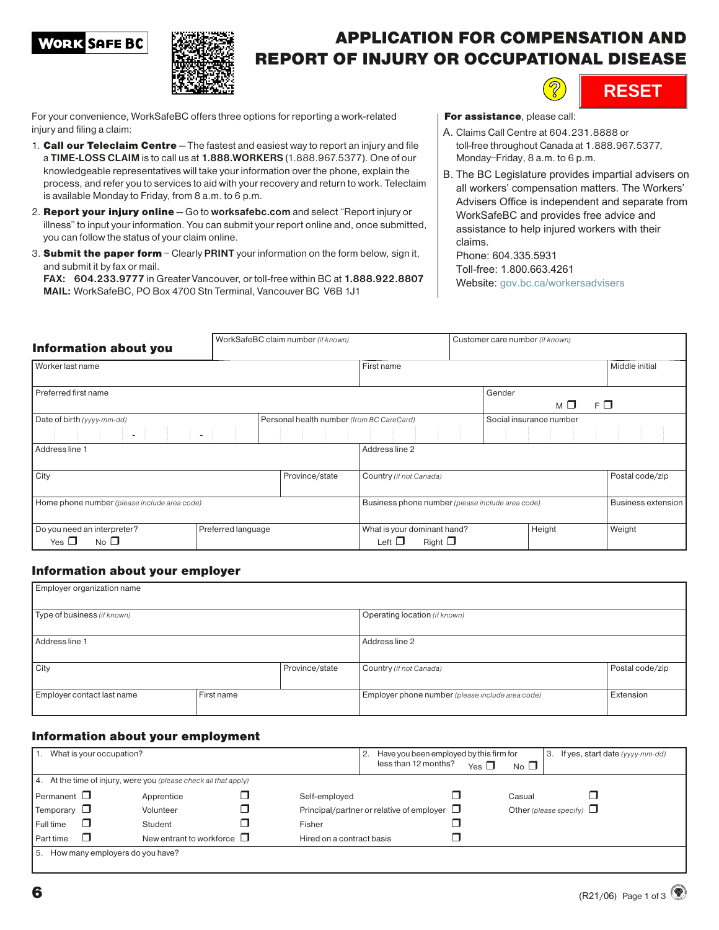### **WORK SAFE BC**



### APPLICATION FOR COMPENSATION AND REPORT OF INJURY OR OCCUPATIONAL DISEASE



For your convenience, WorkSafeBC offers three options for reporting a work-related injury and filing a claim:

- 1. **Call our Teleclaim Centre** The fastest and easiest way to report an injury and file a TIME-LOSS CLAIM is to call us at 1.888.WORKERS (1.888.967.5377). One of our knowledgeable representatives will take your information over the phone, explain the process, and refer you to services to aid with your recovery and return to work. Teleclaim is available Monday to Friday, from 8 a.m. to 6 p.m.
- 2. Report your injury online Go to worksafebc.com and select "Report injury or illness" to input your information. You can submit your report online and, once submitted, you can follow the status of your claim online.
- 3. Submit the paper form Clearly PRINT your information on the form below, sign it, and submit it by fax or mail.

FAX: 604.233.9777 in Greater Vancouver, or toll-free within BC at 1.888.922.8807 MAIL: WorkSafeBC, PO Box 4700 Stn Terminal, Vancouver BC V6B 1J1

For assistance, please call:

- A. Claims Call Centre at 604.231.8888 or toll-free throughout Canada at 1.888.967.5377, Monday–Friday, 8 a.m. to 6 p.m.
- B. The BC Legislature provides impartial advisers on all workers' compensation matters. The Workers' Advisers Office is independent and separate from WorkSafeBC and provides free advice and assistance to help injured workers with their claims.

Phone: 604.335.5931 Toll-free: 1.800.663.4261 Website: [gov.bc.ca/workersadvisers](https://www2.gov.bc.ca/gov/content/employment-business/employment-standards-advice/personal-injury-and-workplace-safety)

| <b>Information about you</b>                                                      |            | WorkSafeBC claim number (if known) | Customer care number (if known)                            |                |        |                         |          |                    |
|-----------------------------------------------------------------------------------|------------|------------------------------------|------------------------------------------------------------|----------------|--------|-------------------------|----------|--------------------|
| Worker last name                                                                  | First name |                                    |                                                            | Middle initial |        |                         |          |                    |
| Preferred first name                                                              |            |                                    |                                                            |                | Gender | мΠ                      | $F \Box$ |                    |
| Personal health number (from BC CareCard)<br>Date of birth (yyyy-mm-dd)<br>$\sim$ |            |                                    |                                                            |                |        | Social insurance number |          |                    |
| Address line 1                                                                    |            |                                    | Address line 2                                             |                |        |                         |          |                    |
| City<br>Province/state                                                            |            |                                    | Country (if not Canada)                                    |                |        |                         |          | Postal code/zip    |
| Home phone number (please include area code)                                      |            |                                    | Business phone number (please include area code)           |                |        |                         |          | Business extension |
| Do you need an interpreter?<br>Preferred language<br>$No$ $\Box$<br>Yes $\Box$    |            |                                    | What is your dominant hand?<br>Right $\Box$<br>Left $\Box$ |                |        | Height                  |          | Weight             |

### Information about your employer

| Employer organization name  |            |                |                                                  |                 |  |  |  |
|-----------------------------|------------|----------------|--------------------------------------------------|-----------------|--|--|--|
| Type of business (if known) |            |                | Operating location (if known)                    |                 |  |  |  |
| Address line 1              |            |                | Address line 2                                   |                 |  |  |  |
| City                        |            | Province/state | Country (if not Canada)                          | Postal code/zip |  |  |  |
| Employer contact last name  | First name |                | Employer phone number (please include area code) | Extension       |  |  |  |

#### Information about your employment

| What is your occupation?<br>I 1.                                 |                                 |                           | 2. | Have you been employed by this firm for          |            |                               | З. | If yes, start date (yyyy-mm-dd) |  |
|------------------------------------------------------------------|---------------------------------|---------------------------|----|--------------------------------------------------|------------|-------------------------------|----|---------------------------------|--|
|                                                                  |                                 |                           |    | less than 12 months?                             | Yes $\Box$ | $No$ $\Box$                   |    |                                 |  |
| 4. At the time of injury, were you (please check all that apply) |                                 |                           |    |                                                  |            |                               |    |                                 |  |
| Permanent $\Box$                                                 | Apprentice                      | Self-emploved             |    |                                                  |            | Casual                        |    |                                 |  |
| Temporary $\Box$                                                 | Volunteer                       |                           |    | Principal/partner or relative of employer $\Box$ |            | Other (please specify) $\Box$ |    |                                 |  |
| П<br>Full time                                                   | Student                         | Fisher                    |    |                                                  |            |                               |    |                                 |  |
| Part time                                                        | New entrant to workforce $\Box$ | Hired on a contract basis |    |                                                  |            |                               |    |                                 |  |
| How many employers do you have?<br>I 5.                          |                                 |                           |    |                                                  |            |                               |    |                                 |  |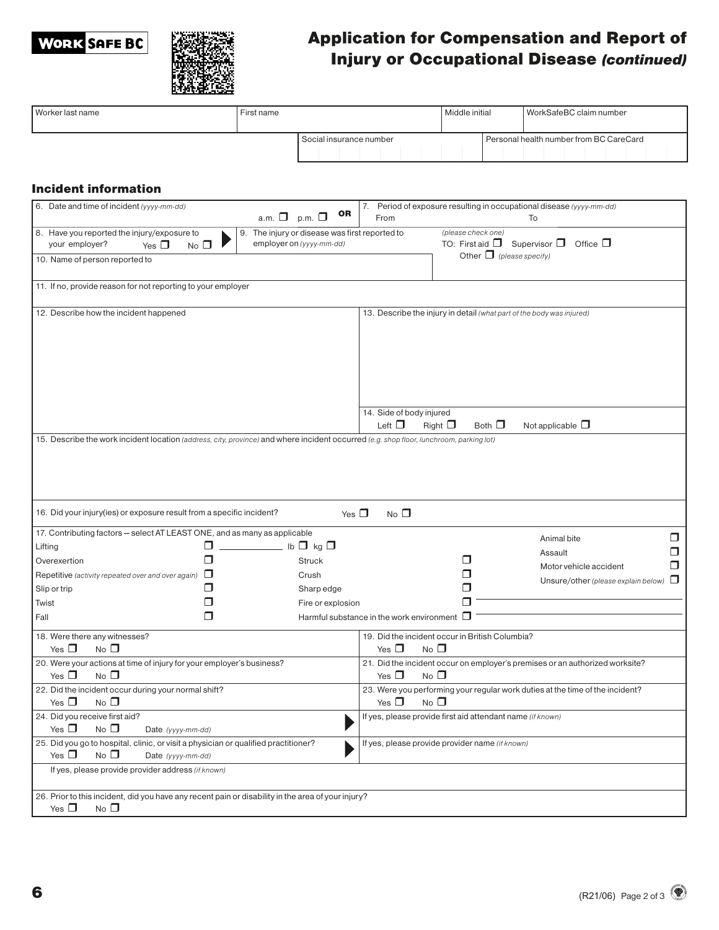# **WORK SAFE BC**



## Application for Compensation and Report of Injury or Occupational Disease (continued)

| Worker last name                                                                                                                                                                                           | First name                                    |                         |                                                                                                             | Middle initial |                | WorkSafeBC claim number                                                       |  |
|------------------------------------------------------------------------------------------------------------------------------------------------------------------------------------------------------------|-----------------------------------------------|-------------------------|-------------------------------------------------------------------------------------------------------------|----------------|----------------|-------------------------------------------------------------------------------|--|
|                                                                                                                                                                                                            |                                               | Social insurance number |                                                                                                             |                |                | Personal health number from BC CareCard                                       |  |
| <b>Incident information</b>                                                                                                                                                                                |                                               |                         |                                                                                                             |                |                |                                                                               |  |
| 6. Date and time of incident (yyyy-mm-dd)                                                                                                                                                                  | a.m. $\Box$ p.m. $\Box$                       | OR                      | 7.<br>From                                                                                                  |                |                | Period of exposure resulting in occupational disease (yyyy-mm-dd)<br>To       |  |
| 8. Have you reported the injury/exposure to<br>9. The injury or disease was first reported to<br>employer on (yyyy-mm-dd)<br>your employer?<br>Yes $\Box$<br>$No$ $\Box$<br>10. Name of person reported to |                                               |                         | (please check one)<br>TO: First aid $\Box$ Supervisor $\Box$ Office $\Box$<br>Other $\Box$ (please specify) |                |                |                                                                               |  |
| 11. If no, provide reason for not reporting to your employer                                                                                                                                               |                                               |                         |                                                                                                             |                |                |                                                                               |  |
| 12. Describe how the incident happened                                                                                                                                                                     |                                               |                         | 13. Describe the injury in detail (what part of the body was injured)                                       |                |                |                                                                               |  |
| 15. Describe the work incident location (address, city, province) and where incident occurred (e.g. shop floor, lunchroom, parking lot)                                                                    |                                               |                         | 14. Side of body injured<br>Left $\Box$                                                                     | Right $\Box$   | Both $\square$ | Not applicable $\Box$                                                         |  |
| 16. Did your injury(ies) or exposure result from a specific incident?                                                                                                                                      |                                               | Yes $\Box$              | $No$ $\square$                                                                                              |                |                |                                                                               |  |
| 17. Contributing factors - select AT LEAST ONE, and as many as applicable                                                                                                                                  |                                               |                         |                                                                                                             |                |                | $\Box$<br>Animal bite                                                         |  |
| Lifting                                                                                                                                                                                                    | □<br>$\frac{1}{\sqrt{2}}$ lb $\Box$ kg $\Box$ |                         |                                                                                                             |                |                | Ω<br>Assault                                                                  |  |
| Overexertion                                                                                                                                                                                               | □                                             | <b>Struck</b>           |                                                                                                             | □              |                | □<br>Motor vehicle accident                                                   |  |
| Repetitive (activity repeated over and over again) $\Box$                                                                                                                                                  |                                               | Crush                   |                                                                                                             | □              |                | Unsure/other (please explain below) $\Box$                                    |  |
| Slip or trip                                                                                                                                                                                               | □                                             | Sharp edge              |                                                                                                             | □              |                |                                                                               |  |
| Twist                                                                                                                                                                                                      | П                                             | Fire or explosion       |                                                                                                             | П              |                |                                                                               |  |
| Fall                                                                                                                                                                                                       | □                                             |                         | Harmful substance in the work environment $\Box$                                                            |                |                |                                                                               |  |
| 18. Were there any witnesses?<br>Yes $\Box$<br>$No$ $\Box$                                                                                                                                                 |                                               |                         | 19. Did the incident occur in British Columbia?<br>Yes $\Box$<br>$No$ $\Box$                                |                |                |                                                                               |  |
| 20. Were your actions at time of injury for your employer's business?<br>Yes $\Box$<br>$No$ $\square$                                                                                                      |                                               |                         | Yes $\Box$<br>$No$ $\Box$                                                                                   |                |                | 21. Did the incident occur on employer's premises or an authorized worksite?  |  |
| 22. Did the incident occur during your normal shift?                                                                                                                                                       |                                               |                         |                                                                                                             |                |                | 23. Were you performing your regular work duties at the time of the incident? |  |
| Yes $\Box$<br>$No$ $\square$                                                                                                                                                                               |                                               |                         | Yes $\Box$<br>$No$ $\Box$                                                                                   |                |                |                                                                               |  |
| 24. Did you receive first aid?<br>Yes $\Box$<br>$No$ $\Box$<br>Date (yyyy-mm-dd)                                                                                                                           |                                               |                         | If yes, please provide first aid attendant name (if known)                                                  |                |                |                                                                               |  |
| 25. Did you go to hospital, clinic, or visit a physician or qualified practitioner?<br>Yes $\Box$<br>$No$ $\Box$<br>Date (yyyy-mm-dd)                                                                      |                                               |                         | If yes, please provide provider name (if known)                                                             |                |                |                                                                               |  |
| If yes, please provide provider address (if known)                                                                                                                                                         |                                               |                         |                                                                                                             |                |                |                                                                               |  |
| 26. Prior to this incident, did you have any recent pain or disability in the area of your injury?                                                                                                         |                                               |                         |                                                                                                             |                |                |                                                                               |  |
| Yes $\Box$<br>$No$ $\Box$                                                                                                                                                                                  |                                               |                         |                                                                                                             |                |                |                                                                               |  |